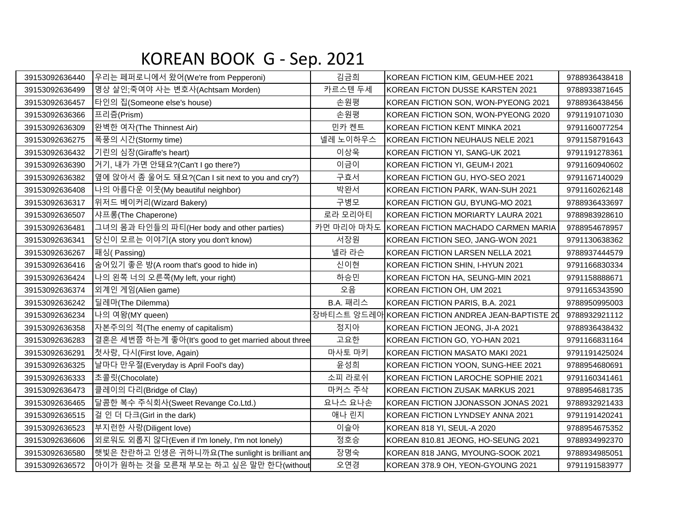## KOREAN BOOK G - Sep. 2021

| 39153092636440 | 우리는 페퍼로니에서 왔어(We're from Pepperoni)                 | 김금희        | KOREAN FICTION KIM, GEUM-HEE 2021                | 9788936438418 |
|----------------|-----------------------------------------------------|------------|--------------------------------------------------|---------------|
| 39153092636499 | 명상 살인;죽여야 사는 변호사(Achtsam Morden)                    | 카르스텐 두세    | IKOREAN FICTON DUSSE KARSTEN 2021                | 9788933871645 |
| 39153092636457 | 타인의 집(Someone else's house)                         | 손원평        | KOREAN FICTION SON, WON-PYEONG 2021              | 9788936438456 |
| 39153092636366 | 프리즘(Prism)                                          | 손원평        | KOREAN FICTION SON, WON-PYEONG 2020              | 9791191071030 |
| 39153092636309 | 완벽한 여자(The Thinnest Air)                            | 민카 켄트      | KOREAN FICTION KENT MINKA 2021                   | 9791160077254 |
| 39153092636275 | 폭풍의 시간(Stormy time)                                 | 넬레 노이하우스   | KOREAN FICTION NEUHAUS NELE 2021                 | 9791158791643 |
| 39153092636432 | 기린의 심장(Giraffe's heart)                             | 이상욱        | KOREAN FICTION YI, SANG-UK 2021                  | 9791191278361 |
| 39153092636390 | 거기, 내가 가면 안돼요?(Can't I go there?)                   | 이금이        | KOREAN FICTION YI, GEUM-I 2021                   | 9791160940602 |
| 39153092636382 | 옆에 앉아서 좀 울어도 돼요?(Can I sit next to you and cry?)    | 구효서        | KOREAN FICTION GU, HYO-SEO 2021                  | 9791167140029 |
| 39153092636408 | 나의 아름다운 이웃(My beautiful neighbor)                   | 박완서        | KOREAN FICTION PARK, WAN-SUH 2021                | 9791160262148 |
| 39153092636317 | 위저드 베이커리(Wizard Bakery)                             | 구병모        | KOREAN FICTION GU, BYUNG-MO 2021                 | 9788936433697 |
| 39153092636507 | 샤프롱(The Chaperone)                                  | 로라 모리아티    | KOREAN FICTION MORIARTY LAURA 2021               | 9788983928610 |
| 39153092636481 | 그녀의 몸과 타인들의 파티(Her body and other parties)          | 카먼 마리아 마차도 | KOREAN FICTION MACHADO CARMEN MARIA              | 9788954678957 |
| 39153092636341 | 당신이 모르는 이야기(A story you don't know)                 | 서장원        | KOREAN FICTION SEO, JANG-WON 2021                | 9791130638362 |
| 39153092636267 | 패싱(Passing)                                         | 넬라 라슨      | KOREAN FICTION LARSEN NELLA 2021                 | 9788937444579 |
| 39153092636416 | 숨어있기 좋은 방(A room that's good to hide in)            | 신이현        | KOREAN FICTION SHIN, I-HYUN 2021                 | 9791166830334 |
| 39153092636424 | 나의 왼쪽 너의 오른쪽(My left, your right)                   | 하승민        | KOREAN FICTON HA, SEUNG-MIN 2021                 | 9791158888671 |
| 39153092636374 | 외계인 게임(Alien game)                                  | 오음         | KOREAN FICTION OH, UM 2021                       | 9791165343590 |
| 39153092636242 | 딜레마(The Dilemma)                                    | B.A. 패리스   | KOREAN FICTION PARIS, B.A. 2021                  | 9788950995003 |
| 39153092636234 | 나의 여왕(MY queen)                                     |            | 장바티스트 앙드레아KOREAN FICTION ANDREA JEAN-BAPTISTE 20 | 9788932921112 |
| 39153092636358 | 자본주의의 적(The enemy of capitalism)                    | 정지아        | KOREAN FICTION JEONG, JI-A 2021                  | 9788936438432 |
| 39153092636283 | 결혼은 세번쯤 하는게 좋아(It's good to get married about three | 고요한        | KOREAN FICTION GO, YO-HAN 2021                   | 9791166831164 |
| 39153092636291 | 첫사랑, 다시(First love, Again)                          | 마사토 마키     | KOREAN FICTION MASATO MAKI 2021                  | 9791191425024 |
| 39153092636325 | 날마다 만우절(Everyday is April Fool's day)               | 윤성희        | KOREAN FICTION YOON, SUNG-HEE 2021               | 9788954680691 |
| 39153092636333 | 초콜릿(Chocolate)                                      | 소피 라로쉬     | KOREAN FICTION LAROCHE SOPHIE 2021               | 9791160341461 |
| 39153092636473 | 클레이의 다리(Bridge of Clay)                             | 마커스 주삭     | KOREAN FICTION ZUSAK MARKUS 2021                 | 9788954681735 |
| 39153092636465 | 달콤한 복수 주식회사(Sweet Revange Co.Ltd.)                  | 요나스 요나손    | KOREAN FICTION JJONASSON JONAS 2021              | 9788932921433 |
| 39153092636515 | 걸 인 더 다크(Girl in the dark)                          | 애나 린지      | KOREAN FICTION LYNDSEY ANNA 2021                 | 9791191420241 |
| 39153092636523 | 부지런한 사랑(Diligent love)                              | 이슬아        | KOREAN 818 YI, SEUL-A 2020                       | 9788954675352 |
| 39153092636606 | 외로워도 외롭지 않다(Even if I'm lonely, I'm not lonely)     | 정호승        | KOREAN 810.81 JEONG, HO-SEUNG 2021               | 9788934992370 |
| 39153092636580 | ┃햇빛은 찬란하고 인생은 귀하니까요(The sunlight is brilliant and   | 장명숙        | KOREAN 818 JANG, MYOUNG-SOOK 2021                | 9788934985051 |
| 39153092636572 | 아이가 원하는 것을 모른채 부모는 하고 싶은 말만 한다(without              | 오연경        | KOREAN 378.9 OH, YEON-GYOUNG 2021                | 9791191583977 |